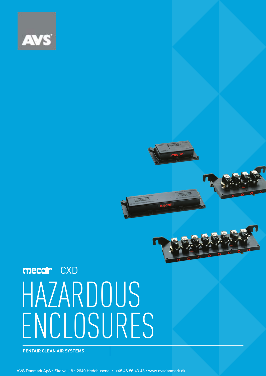

# HAZARDOUS ENCLOSURES mecair CXD

**PENTAIR CLEAN AIR SYSTEMS**

AVS Danmark ApS • Skelvej 18 • 2640 Hedehusene • +45 46 56 43 43 • www.avsdanmark.dk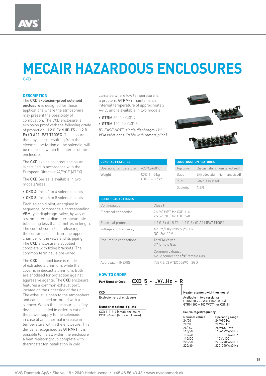#### **DESCRIPTION**

The CXD explosion-proof solenoid enclosure is designed for those applications where the atmosphere may present the possibility of combustion. The CXD enclosure is explosion proof with the following grade of protection: II 2 G Ex d IIB T5 - II 2 D Ex tD A21 IP67 T100°C. This ensures that any spark, resulting from the electrical activation of the solenoid, will be restricted within the interior of the enclosure.

The CXD explosion-proof enclosure is certified in accordance with the European Directive 94/9/CE (ATEX).

The CXD Series is available in two models/sizes:

• CXD 4: from 1 to 4 solenoid pilots

• CXD 8: from 5 to 8 solenoid pilots Each solenoid pilot, energised in sequence, commands a corresponding VEM type diaphragm valve, by way of a 6 mm internal diameter pneumatic tube being less than 2 metres in length. The control consists in releasing the compressed air from the upper chamber of the valve and its piping. The CXD enclosure is supplied complete with fixing brackets. The common terminal is pre-wired.

The CXD solenoid base is made of extruded aluminium, while the cover is in diecast aluminium. Both are anodised for protection against aggressive agents. The CXD enclosure features a common exhaust port, located on the underside of the unit. The exhaust is open to the atmosphere and can be piped or muted with a silencer. Within the enclosure a safety device is installed in order to cut off the power supply to the solenoids in case of an abnormal increase in temperature within the enclosure. This device is recognised as GTRM-1. It is possible to install within the enclosure a heat resistor group complete with thermostat for installation in cold

climates where low temperature is a problem. GTRM-2 maintains an internal temperature of approximately +4°C, and is available in two models:

• GTRM 50, for CXD 4

• GTRM 120, for CXD 8

*(PLEASE NOTE: single diaphragm 1½*″ *VEM valve not suitable with remote pilot.)*



| <b>GENERAL FEATURES</b> |                                    |
|-------------------------|------------------------------------|
| Operating temperature   | $-20^{\circ}$ C/+60 $^{\circ}$ C   |
| Weight                  | $CXD 4 - 5 kq$<br>$CXD 8 - 8.5 kq$ |

| <b>CONSTRUCTION FEATURES</b> |                               |  |
|------------------------------|-------------------------------|--|
| Top cover                    | Diecast aluminium (anodised)  |  |
| Base                         | Extruded aluminium (anodised) |  |
| Pilot                        | Stainless steel               |  |
| Gaskets                      | <b>NRR</b>                    |  |

110/60 110–127 V/60 Hz<br>110/DC 110 V / DC 110/DC 110 V / DC<br>220/50 220-240 V 220/50<br>220/60 220-240 V/50 Hz<br>220/60 220-240 V/60 Hz

220-240 V/60 Hz

| <b>ELECTRICAL FEATURES</b> |                                                                      |
|----------------------------|----------------------------------------------------------------------|
| Coil insulation            | Class H                                                              |
| Electrical connection      | $2 \times 1/2$ " NPT for CXD 1-4<br>$2 \times 3/4$ " NPT for CXD 5-8 |
| Electrical protection      | IL 2 G Ex d IIB T5 - IL 2 D Ex tD A21 IP67 T100°C                    |
| Voltage and frequency      | AC: 24/110/220 V 50/60 Hz<br>DC: 24/110V                             |
| Pneumatic connections      | To VFM Valves<br>1/4" female Gas                                     |
|                            | Common exhaust.<br>No. 2 connections 3/8" female Gas                 |

Approvals – INERIS **INERIS INERIS 03 ATEX 0069X II 2GD** 

#### **HOW TO ORDER**

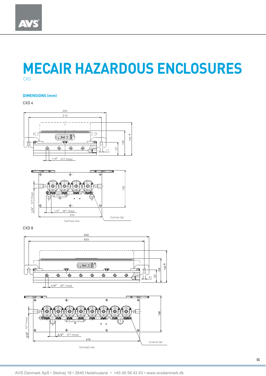### **DIMENSIONS (mm)**

CXD 4





CXD 8



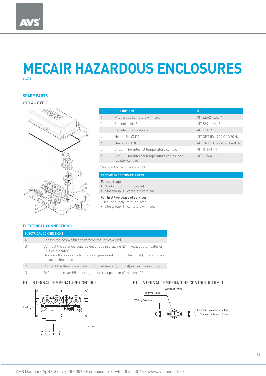#### **SPARE PARTS**

#### CXD 4 – CXD 8



| POS.                                       | <b>DESCRIPTION</b>                                                 | <b>CODE</b>                  |  |
|--------------------------------------------|--------------------------------------------------------------------|------------------------------|--|
|                                            | Pilot group complete with coil                                     | KIT ELA2 - / (*)             |  |
| 2                                          | Solenoid coil (*)                                                  | $KIT SA2 - 1.1.$ (*)         |  |
| 3                                          | Ferrule tube complete                                              | KIT ECL 28 X                 |  |
|                                            | Heater for CXD4                                                    | KIT GRT 50 - 220 V 50/60 Hz  |  |
| $\sqrt{2}$                                 | Heater for CXD8                                                    | KIT GRT 100 - 220 V 50/60 Hz |  |
| 5                                          | Circuit – for internal temperature control                         | KIT GTRM - 1                 |  |
| 5                                          | Circuit - for internal temperature control and<br>resistor control | KIT GTRM - 2                 |  |
| (*) Specify voltage and frequency (or DC). |                                                                    |                              |  |

#### **RECOMMENDED SPARE PARTS**

#### For start-up:

- ≥ 5% of supply (min. 1 piece):
- pilot group (1), complete with coil.

#### For first two years of service:

- ≥ 10% of supply (min. 2 pieces):
- pilot group (1), complete with coil.

#### **ELECTRICAL CONNECTIONS**

| <b>ELECTRICAL CONNECTIONS</b> |                                                                                                                                                                                                                   |  |  |
|-------------------------------|-------------------------------------------------------------------------------------------------------------------------------------------------------------------------------------------------------------------|--|--|
| $\forall$                     | Loosen the screws (8) and remove the top cover (9).                                                                                                                                                               |  |  |
|                               | Connect the solenoid coils as described in drawing [E1 if without the heater or<br>E2 if with heater.<br>Use a multi-core cable to: 1 wire to pre-wired common terminal (11) and 1 wire<br>to each solenoid coil. |  |  |
|                               | Connect the thermostatically controlled heater (optional) as per drawing [E2].                                                                                                                                    |  |  |
|                               | Refit the top cover (9) ensuring the correct position of the seal (12).                                                                                                                                           |  |  |



#### E1 – INTERNAL TEMPERATURE CONTROL E1 – INTERNAL TEMPERATURE CONTROL (GTRM-1)